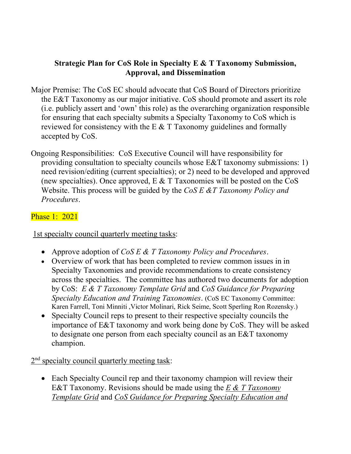## **Strategic Plan for CoS Role in Specialty E & T Taxonomy Submission, Approval, and Dissemination**

- Major Premise: The CoS EC should advocate that CoS Board of Directors prioritize the E&T Taxonomy as our major initiative. CoS should promote and assert its role (i.e. publicly assert and 'own' this role) as the overarching organization responsible for ensuring that each specialty submits a Specialty Taxonomy to CoS which is reviewed for consistency with the E & T Taxonomy guidelines and formally accepted by CoS.
- Ongoing Responsibilities: CoS Executive Council will have responsibility for providing consultation to specialty councils whose E&T taxonomy submissions: 1) need revision/editing (current specialties); or 2) need to be developed and approved (new specialties). Once approved,  $E \& T$  Taxonomies will be posted on the CoS Website. This process will be guided by the *CoS E &T Taxonomy Policy and Procedures*.

## Phase 1: 2021

1st specialty council quarterly meeting tasks:

- Approve adoption of *CoS E & T Taxonomy Policy and Procedures*.
- Overview of work that has been completed to review common issues in in Specialty Taxonomies and provide recommendations to create consistency across the specialties. The committee has authored two documents for adoption by CoS: *E & T Taxonomy Template Grid* and *CoS Guidance for Preparing Specialty Education and Training Taxonomies*. (CoS EC Taxonomy Committee: Karen Farrell, Toni Minniti ,Victor Molinari, Rick Seime, Scott Sperling Ron Rozensky.)
- Specialty Council reps to present to their respective specialty councils the importance of E&T taxonomy and work being done by CoS. They will be asked to designate one person from each specialty council as an E&T taxonomy champion.

2<sup>nd</sup> specialty council quarterly meeting task:

• Each Specialty Council rep and their taxonomy champion will review their E&T Taxonomy. Revisions should be made using the *E & T Taxonomy Template Grid* and *CoS Guidance for Preparing Specialty Education and*